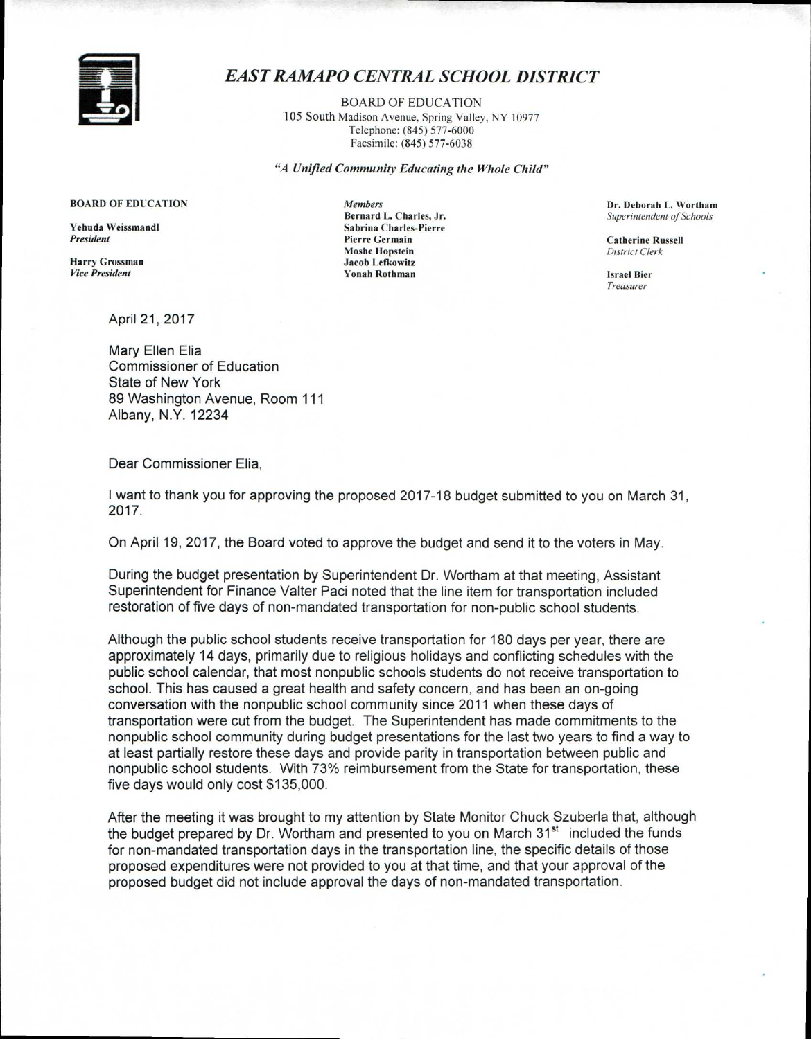

## *EAST RAMAPO CENTRAL SCHOOL DISTRICT*

BOARD OF EDUCATION 105 South Madison Avenue, Spring Valley, NY 10977 Telephone: (845) 577-6000 Facsimile: (845) 577-6038

"A *Unified Community Educating the Whole Child"* 

Yehuda Weissmandl Sabrina Charles-Pierre

Harry Grossman Jacob Lefkowitz *Vice President* Yonah Rothman Israel Bier

April 21, 2017

Mary Ellen Elia Commissioner of Education State of New York 89 Washington Avenue, Room 111 Albany, N.Y. 12234

Dear Commissioner Elia,

I want to thank you for approving the proposed 2017-18 budget submitted to you on March 31, 2017.

On April 19, 2017, the Board voted to approve the budget and send it to the voters in May.

During the budget presentation by Superintendent Dr. Wortham at that meeting, Assistant Superintendent for Finance Valter Paci noted that the line item for transportation included restoration of five days of non-mandated transportation for non-public school students.

Although the public school students receive transportation for 180 days per year, there are approximately 14 days, primarily due to religious holidays and conflicting schedules with the public school calendar, that most nonpublic schools students do not receive transportation to school. This has caused a great health and safety concern, and has been an on-going conversation with the nonpublic school community since 2011 when these days of transportation were cut from the budget. The Superintendent has made commitments to the nonpublic school community during budget presentations for the last two years to find a way to at least partially restore these days and provide parity in transportation between public and nonpublic school students. With 73% reimbursement from the State for transportation, these five days would only cost \$135,000.

After the meeting it was brought to my attention by State Monitor Chuck Szuberla that, although the budget prepared by Dr. Wortham and presented to you on March  $31<sup>st</sup>$  included the funds for non-mandated transportation days in the transportation line, the specific details of those proposed expenditures were not provided to you at that time, and that your approval of the proposed budget did not include approval the days of non-mandated transportation.

**BOARD OF EDUCATION** *Members Members Dr. Deborah L. Wortham Dr. Deborah L. Wortham Bernard L. Charles, Jr. Superintendent of Schools* Superintendent of Schools

> **Pierre Germain** Catherine Russell Moshe Hopstein *District Clerk*

> > *Treasurer*